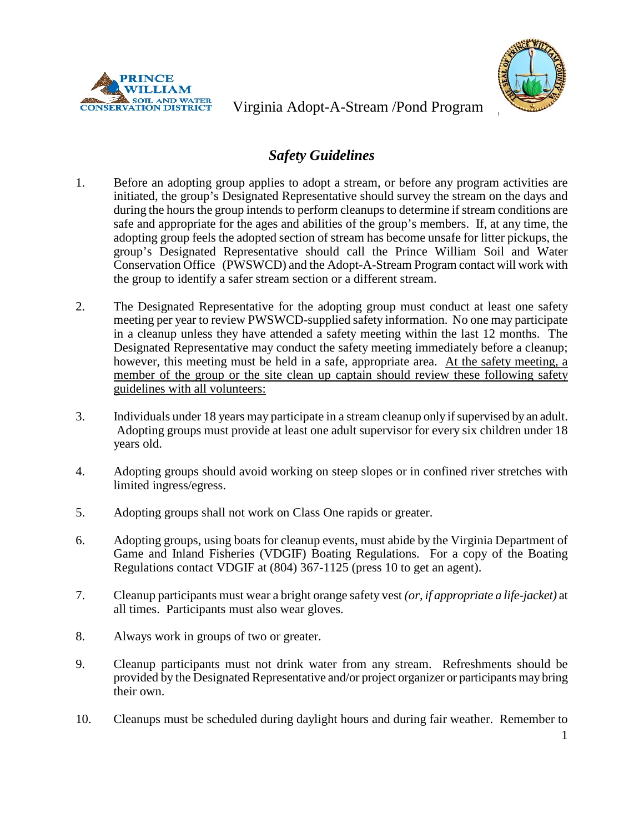



Virginia Adopt-A-Stream /Pond Program

## *Safety Guidelines*

- 1. Before an adopting group applies to adopt a stream, or before any program activities are initiated, the group's Designated Representative should survey the stream on the days and during the hours the group intends to perform cleanups to determine if stream conditions are safe and appropriate for the ages and abilities of the group's members. If, at any time, the adopting group feels the adopted section of stream has become unsafe for litter pickups, the group's Designated Representative should call the Prince William Soil and Water Conservation Office (PWSWCD) and the Adopt-A-Stream Program contact will work with the group to identify a safer stream section or a different stream.
- 2. The Designated Representative for the adopting group must conduct at least one safety meeting per year to review PWSWCD-supplied safety information. No one may participate in a cleanup unless they have attended a safety meeting within the last 12 months. The Designated Representative may conduct the safety meeting immediately before a cleanup; however, this meeting must be held in a safe, appropriate area. At the safety meeting, a member of the group or the site clean up captain should review these following safety guidelines with all volunteers:
- 3. Individuals under 18 years may participate in a stream cleanup only if supervised by an adult. Adopting groups must provide at least one adult supervisor for every six children under 18 years old.
- 4. Adopting groups should avoid working on steep slopes or in confined river stretches with limited ingress/egress.
- 5. Adopting groups shall not work on Class One rapids or greater.
- 6. Adopting groups, using boats for cleanup events, must abide by the Virginia Department of Game and Inland Fisheries (VDGIF) Boating Regulations. For a copy of the Boating Regulations contact VDGIF at (804) 367-1125 (press 10 to get an agent).
- 7. Cleanup participants must wear a bright orange safety vest *(or, if appropriate a life-jacket)* at all times. Participants must also wear gloves.
- 8. Always work in groups of two or greater.
- 9. Cleanup participants must not drink water from any stream. Refreshments should be provided by the Designated Representative and/or project organizer or participants may bring their own.
- 10. Cleanups must be scheduled during daylight hours and during fair weather. Remember to